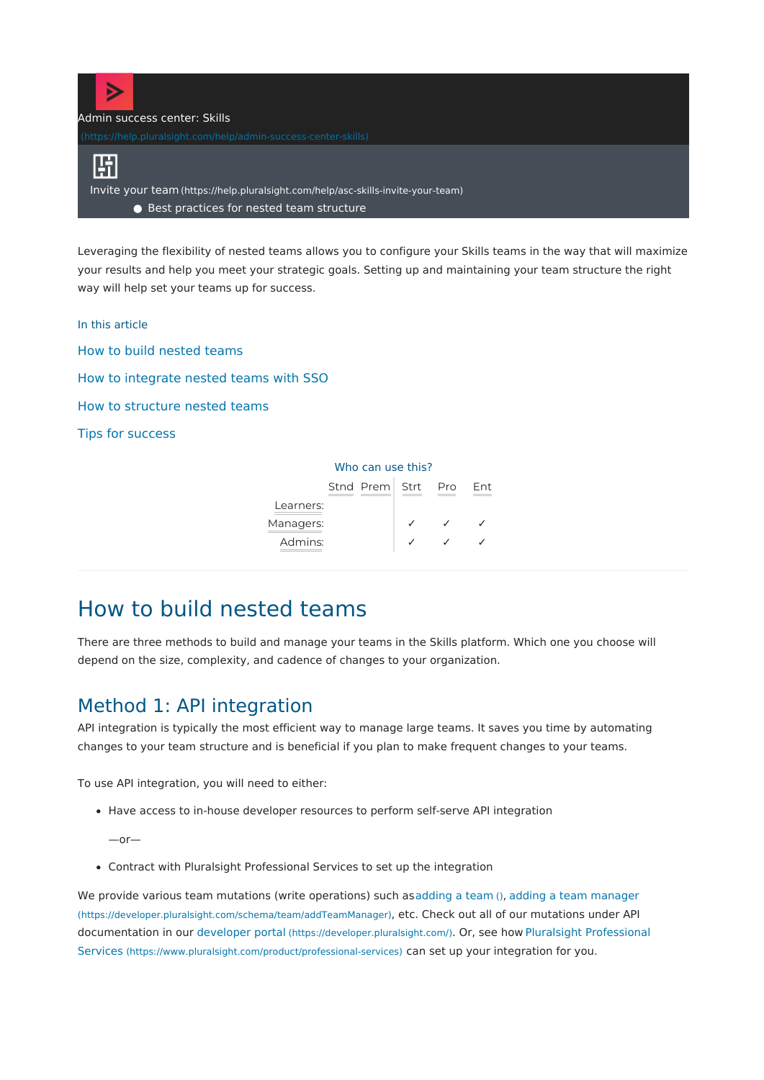

Leveraging the flexibility of nested teams allows you to configure your Skills teams in the way that will maximize your results and help you meet your strategic goals. Setting up and maintaining your team structure the right way will help set your teams up for success.

In this article

How to build [nested](http://pluralsight.knowledgeowl.com/#build) teams How to [integrate](http://pluralsight.knowledgeowl.com/#sso) nested teams with SSO How to [structure](http://pluralsight.knowledgeowl.com/#structure) nested teams Tips for [success](http://pluralsight.knowledgeowl.com/#tips)

#### Who can use this?

|           | Stnd Prem Strt | Pro | Fnt |
|-----------|----------------|-----|-----|
| Learners: |                |     |     |
| Managers: |                |     |     |
| Admins:   |                |     |     |

# How to build nested teams

There are three methods to build and manage your teams in the Skills platform. Which one you choose will depend on the size, complexity, and cadence of changes to your organization.

### Method 1: API integration

API integration is typically the most efficient way to manage large teams. It saves you time by automating changes to your team structure and is beneficial if you plan to make frequent changes to your teams.

To use API integration, you will need to either:

• Have access to in-house developer resources to perform self-serve API integration

—or—

Contract with Pluralsight Professional Services to set up the integration

We provide various team mutations (write operations) such a[sadding](https://developer.pluralsight.com/schema/team/addTeam) a team (), adding a team [manager](https://developer.pluralsight.com/schema/team/addTeamManager) [\(https://developer.pluralsight.com/schema/team/addTeamManager\)](https://developer.pluralsight.com/schema/team/addTeamManager), etc. Check out all of our mutations under API documentation in our [developer](https://developer.pluralsight.com/) portal [\(https://developer.pluralsight.com/\)](https://developer.pluralsight.com/). Or, see how Pluralsight Professional Services [\(https://www.pluralsight.com/product/professional-services\)](https://www.pluralsight.com/product/professional-services) can set up your integration for you.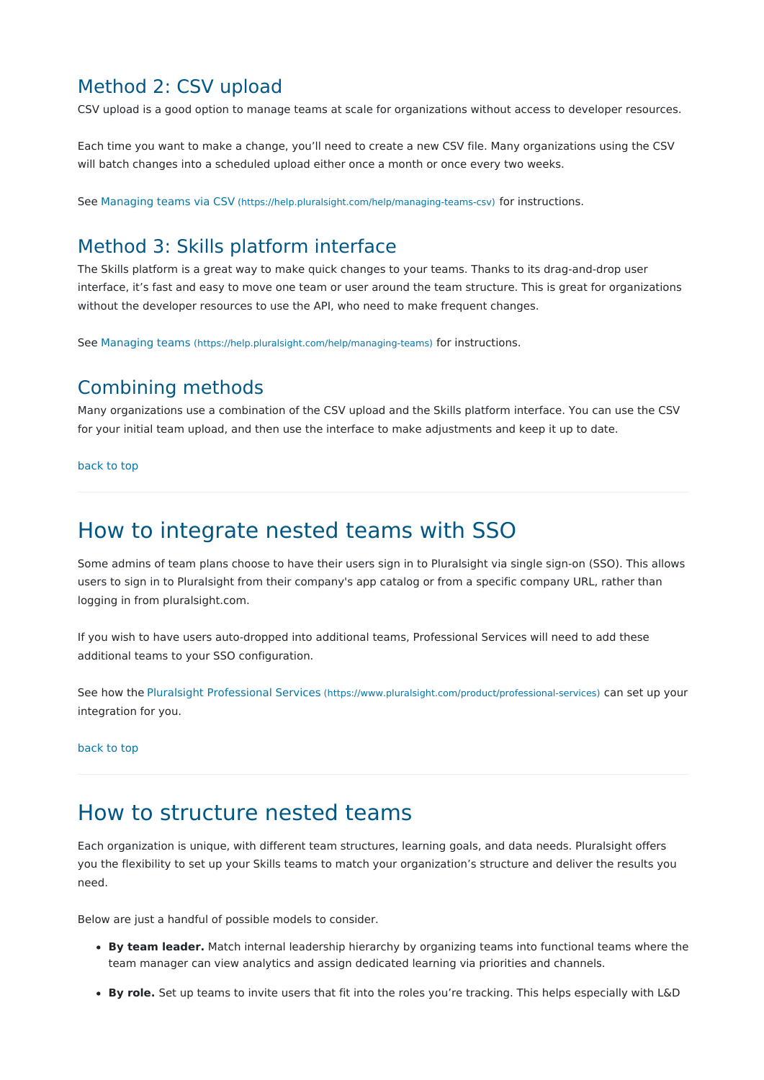### Method 2: CSV upload

CSV upload is a good option to manage teams at scale for organizations without access to developer resources.

Each time you want to make a change, you'll need to create a new CSV file. Many organizations using the CSV will batch changes into a scheduled upload either once a month or once every two weeks.

See [Managing](https://help.pluralsight.com/help/managing-teams-csv) teams via CSV [\(https://help.pluralsight.com/help/managing-teams-csv\)](https://help.pluralsight.com/help/managing-teams-csv) for instructions.

## Method 3: Skills platform interface

The Skills platform is a great way to make quick changes to your teams. Thanks to its drag-and-drop user interface, it's fast and easy to move one team or user around the team structure. This is great for organizations without the developer resources to use the API, who need to make frequent changes.

See [Managing](https://help.pluralsight.com/help/managing-teams) teams [\(https://help.pluralsight.com/help/managing-teams\)](https://help.pluralsight.com/help/managing-teams) for instructions.

### Combining methods

Many organizations use a combination of the CSV upload and the Skills platform interface. You can use the CSV for your initial team upload, and then use the interface to make adjustments and keep it up to date.

[back](http://pluralsight.knowledgeowl.com/#top) to top

# How to integrate nested teams with SSO

Some admins of team plans choose to have their users sign in to Pluralsight via single sign-on (SSO). This allows users to sign in to Pluralsight from their company's app catalog or from a specific company URL, rather than logging in from pluralsight.com.

If you wish to have users auto-dropped into additional teams, Professional Services will need to add these additional teams to your SSO configuration.

See how the Pluralsight [Professional](https://www.pluralsight.com/product/professional-services) Services [\(https://www.pluralsight.com/product/professional-services\)](https://www.pluralsight.com/product/professional-services) can set up your integration for you.

#### [back](http://pluralsight.knowledgeowl.com/#top) to top

## How to structure nested teams

Each organization is unique, with different team structures, learning goals, and data needs. Pluralsight offers you the flexibility to set up your Skills teams to match your organization's structure and deliver the results you need.

Below are just a handful of possible models to consider.

- **By team leader.** Match internal leadership hierarchy by organizing teams into functional teams where the team manager can view analytics and assign dedicated learning via priorities and channels.
- **By role.** Set up teams to invite users that fit into the roles you're tracking. This helps especially with L&D